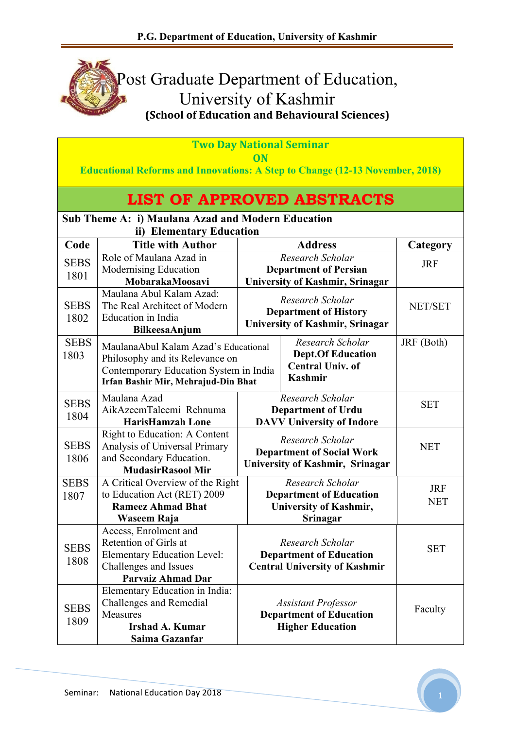

| <b>Two Day National Seminar</b><br>ON |                                                                                                                                                          |                                                                                         |                                                                                            |                          |  |  |  |
|---------------------------------------|----------------------------------------------------------------------------------------------------------------------------------------------------------|-----------------------------------------------------------------------------------------|--------------------------------------------------------------------------------------------|--------------------------|--|--|--|
|                                       | <b>Educational Reforms and Innovations: A Step to Change (12-13 November, 2018)</b>                                                                      |                                                                                         |                                                                                            |                          |  |  |  |
|                                       |                                                                                                                                                          |                                                                                         | <b>LIST OF APPROVED ABSTRACTS</b>                                                          |                          |  |  |  |
|                                       | Sub Theme A: i) Maulana Azad and Modern Education                                                                                                        |                                                                                         |                                                                                            |                          |  |  |  |
| Code                                  | ii) Elementary Education<br><b>Title with Author</b>                                                                                                     |                                                                                         | <b>Address</b>                                                                             | Category                 |  |  |  |
| <b>SEBS</b><br>1801                   | Role of Maulana Azad in<br>Modernising Education<br>MobarakaMoosavi                                                                                      |                                                                                         | Research Scholar<br><b>Department of Persian</b><br><b>University of Kashmir, Srinagar</b> | <b>JRF</b>               |  |  |  |
| <b>SEBS</b><br>1802                   | Maulana Abul Kalam Azad:<br>The Real Architect of Modern<br><b>Education</b> in India<br>BilkeesaAnjum                                                   |                                                                                         | Research Scholar<br><b>Department of History</b><br><b>University of Kashmir, Srinagar</b> | NET/SET                  |  |  |  |
| <b>SEBS</b><br>1803                   | MaulanaAbul Kalam Azad's Educational<br>Philosophy and its Relevance on<br>Contemporary Education System in India<br>Irfan Bashir Mir, Mehrajud-Din Bhat | Research Scholar<br><b>Dept.Of Education</b><br><b>Central Univ. of</b><br>Kashmir      |                                                                                            | JRF (Both)               |  |  |  |
| <b>SEBS</b><br>1804                   | Maulana Azad<br>AikAzeemTaleemi Rehnuma<br><b>HarisHamzah Lone</b>                                                                                       |                                                                                         | Research Scholar<br><b>Department of Urdu</b><br><b>DAVV University of Indore</b>          | <b>SET</b>               |  |  |  |
| <b>SEBS</b><br>1806                   | Right to Education: A Content<br>Analysis of Universal Primary<br>and Secondary Education.<br><b>MudasirRasool Mir</b>                                   |                                                                                         | Research Scholar<br><b>Department of Social Work</b><br>University of Kashmir, Srinagar    | <b>NET</b>               |  |  |  |
| <b>SEBS</b><br>1807                   | A Critical Overview of the Right<br>to Education Act (RET) 2009<br><b>Rameez Ahmad Bhat</b><br>Waseem Raja                                               |                                                                                         | Research Scholar<br><b>Department of Education</b><br>University of Kashmir,<br>Srinagar   | <b>JRF</b><br><b>NET</b> |  |  |  |
| <b>SEBS</b><br>1808                   | Access, Enrolment and<br>Retention of Girls at<br><b>Elementary Education Level:</b><br>Challenges and Issues<br><b>Parvaiz Ahmad Dar</b>                |                                                                                         | Research Scholar<br><b>Department of Education</b><br><b>Central University of Kashmir</b> | <b>SET</b>               |  |  |  |
| <b>SEBS</b><br>1809                   | Elementary Education in India:<br><b>Challenges and Remedial</b><br><b>Measures</b><br><b>Irshad A. Kumar</b><br>Saima Gazanfar                          | <b>Assistant Professor</b><br><b>Department of Education</b><br><b>Higher Education</b> |                                                                                            | Faculty                  |  |  |  |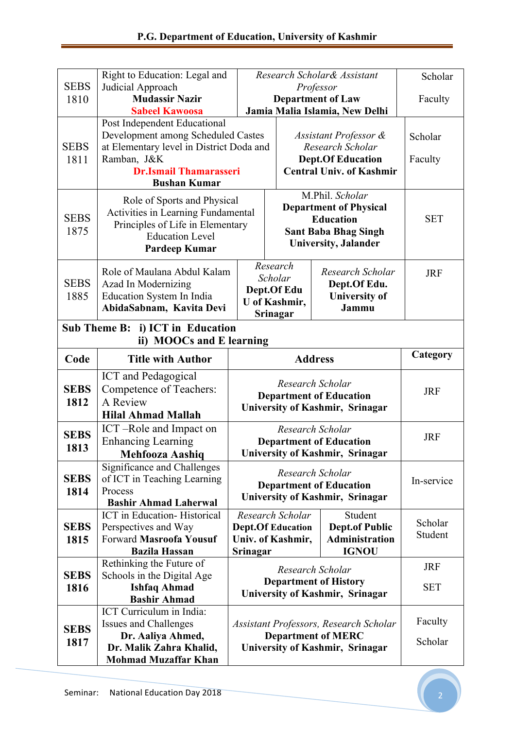|                     | Right to Education: Legal and                                                                                                                                                         |                                                                                                                                      |                                                                                                        | Research Scholar& Assistant                                               | Scholar                  |
|---------------------|---------------------------------------------------------------------------------------------------------------------------------------------------------------------------------------|--------------------------------------------------------------------------------------------------------------------------------------|--------------------------------------------------------------------------------------------------------|---------------------------------------------------------------------------|--------------------------|
| <b>SEBS</b><br>1810 | Judicial Approach<br><b>Mudassir Nazir</b>                                                                                                                                            | Professor<br><b>Department of Law</b>                                                                                                |                                                                                                        |                                                                           | Faculty                  |
|                     | <b>Sabeel Kawoosa</b>                                                                                                                                                                 |                                                                                                                                      |                                                                                                        | Jamia Malia Islamia, New Delhi                                            |                          |
| <b>SEBS</b><br>1811 | Post Independent Educational<br>Development among Scheduled Castes<br>at Elementary level in District Doda and<br>Ramban, J&K<br><b>Dr.Ismail Thamarasseri</b><br><b>Bushan Kumar</b> | Assistant Professor &<br>Research Scholar<br><b>Dept.Of Education</b><br><b>Central Univ. of Kashmir</b>                             |                                                                                                        |                                                                           | Scholar<br>Faculty       |
| <b>SEBS</b><br>1875 | Role of Sports and Physical<br>Activities in Learning Fundamental<br>Principles of Life in Elementary<br><b>Education Level</b><br>Pardeep Kumar                                      | M.Phil. Scholar<br><b>Department of Physical</b><br><b>Education</b><br><b>Sant Baba Bhag Singh</b><br><b>University</b> , Jalander  |                                                                                                        | <b>SET</b>                                                                |                          |
| <b>SEBS</b><br>1885 | Role of Maulana Abdul Kalam<br>Azad In Modernizing<br>Education System In India<br>AbidaSabnam, Kavita Devi                                                                           | Research<br>Research Scholar<br>Scholar<br>Dept.Of Edu.<br>Dept.Of Edu<br><b>University</b> of<br>U of Kashmir,<br>Jammu<br>Srinagar |                                                                                                        |                                                                           |                          |
|                     | Sub Theme B: i) ICT in Education<br>ii) MOOCs and E learning                                                                                                                          |                                                                                                                                      |                                                                                                        |                                                                           |                          |
| Code                | <b>Title with Author</b>                                                                                                                                                              | <b>Address</b>                                                                                                                       |                                                                                                        | Category                                                                  |                          |
| <b>SEBS</b><br>1812 | <b>ICT</b> and Pedagogical<br>Competence of Teachers:<br>A Review<br><b>Hilal Ahmad Mallah</b>                                                                                        |                                                                                                                                      | Research Scholar<br><b>Department of Education</b><br>University of Kashmir, Srinagar                  |                                                                           | <b>JRF</b>               |
| <b>SEBS</b><br>1813 | ICT-Role and Impact on<br><b>Enhancing Learning</b><br><b>Mehfooza Aashiq</b>                                                                                                         |                                                                                                                                      | Research Scholar                                                                                       | <b>Department of Education</b><br>University of Kashmir, Srinagar         | <b>JRF</b>               |
| <b>SEBS</b><br>1814 | Significance and Challenges<br>of ICT in Teaching Learning<br>Process<br><b>Bashir Ahmad Laherwal</b>                                                                                 |                                                                                                                                      | Research Scholar                                                                                       | <b>Department of Education</b><br>University of Kashmir, Srinagar         | In-service               |
| <b>SEBS</b><br>1815 | <b>ICT</b> in Education-Historical<br>Perspectives and Way<br><b>Forward Masroofa Yousuf</b><br><b>Bazila Hassan</b>                                                                  | Srinagar                                                                                                                             | Research Scholar<br><b>Dept.Of Education</b><br>Univ. of Kashmir,                                      | Student<br><b>Dept.of Public</b><br><b>Administration</b><br><b>IGNOU</b> | Scholar<br>Student       |
| <b>SEBS</b><br>1816 | Rethinking the Future of<br>Schools in the Digital Age<br><b>Ishfaq Ahmad</b><br><b>Bashir Ahmad</b>                                                                                  |                                                                                                                                      | Research Scholar                                                                                       | <b>Department of History</b><br>University of Kashmir, Srinagar           | <b>JRF</b><br><b>SET</b> |
| <b>SEBS</b><br>1817 | ICT Curriculum in India:<br>Issues and Challenges<br>Dr. Aaliya Ahmed,<br>Dr. Malik Zahra Khalid,<br><b>Mohmad Muzaffar Khan</b>                                                      |                                                                                                                                      | Assistant Professors, Research Scholar<br><b>Department of MERC</b><br>University of Kashmir, Srinagar |                                                                           | Faculty<br>Scholar       |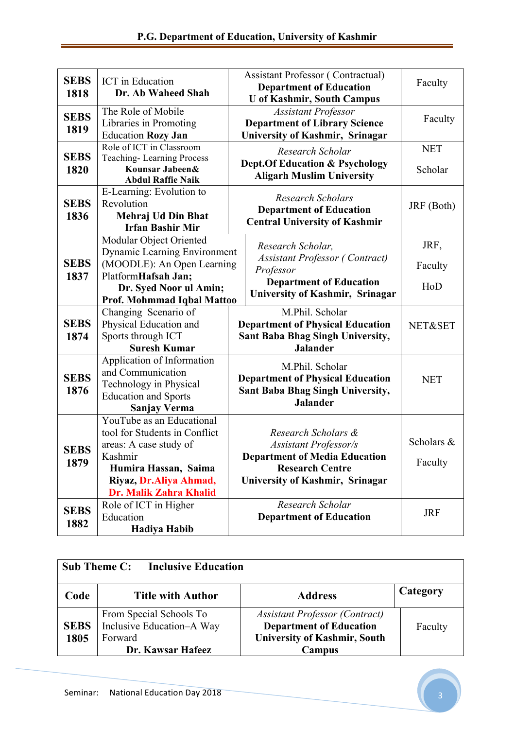| <b>SEBS</b><br>1818 | <b>ICT</b> in Education<br>Dr. Ab Waheed Shah                                                                                                                               | <b>Assistant Professor (Contractual)</b><br><b>Department of Education</b><br><b>U</b> of Kashmir, South Campus                                          | Faculty                |
|---------------------|-----------------------------------------------------------------------------------------------------------------------------------------------------------------------------|----------------------------------------------------------------------------------------------------------------------------------------------------------|------------------------|
| <b>SEBS</b><br>1819 | The Role of Mobile<br>Libraries in Promoting<br><b>Education Rozy Jan</b>                                                                                                   | <b>Assistant Professor</b><br><b>Department of Library Science</b><br><b>University of Kashmir, Srinagar</b>                                             | Faculty                |
| <b>SEBS</b><br>1820 | Role of ICT in Classroom<br><b>Teaching-Learning Process</b><br>Kounsar Jabeen&<br><b>Abdul Raffie Naik</b>                                                                 | Research Scholar<br><b>Dept.Of Education &amp; Psychology</b><br><b>Aligarh Muslim University</b>                                                        | <b>NET</b><br>Scholar  |
| <b>SEBS</b><br>1836 | E-Learning: Evolution to<br>Revolution<br>Mehraj Ud Din Bhat<br><b>Irfan Bashir Mir</b>                                                                                     | <b>Research Scholars</b><br><b>Department of Education</b><br><b>Central University of Kashmir</b>                                                       | JRF (Both)             |
| <b>SEBS</b><br>1837 | Modular Object Oriented<br><b>Dynamic Learning Environment</b><br>(MOODLE): An Open Learning<br>PlatformHafsah Jan;<br>Dr. Syed Noor ul Amin;<br>Prof. Mohmmad Iqbal Mattoo | Research Scholar,<br><b>Assistant Professor (Contract)</b><br>Professor<br><b>Department of Education</b><br>University of Kashmir, Srinagar             | JRF,<br>Faculty<br>HoD |
| <b>SEBS</b><br>1874 | Changing Scenario of<br>Physical Education and<br>Sports through ICT<br><b>Suresh Kumar</b>                                                                                 | M.Phil. Scholar<br><b>Department of Physical Education</b><br>Sant Baba Bhag Singh University,<br><b>Jalander</b>                                        | NET&SET                |
| <b>SEBS</b><br>1876 | Application of Information<br>and Communication<br>Technology in Physical<br><b>Education and Sports</b><br>Sanjay Verma                                                    | M.Phil. Scholar<br><b>Department of Physical Education</b><br>Sant Baba Bhag Singh University,<br><b>Jalander</b>                                        | <b>NET</b>             |
| <b>SEBS</b><br>1879 | YouTube as an Educational<br>tool for Students in Conflict<br>areas: A case study of<br>Kashmir<br>Humira Hassan, Saima<br>Riyaz, Dr.Aliya Ahmad,<br>Dr. Malik Zahra Khalid | Research Scholars &<br><b>Assistant Professor/s</b><br><b>Department of Media Education</b><br><b>Research Centre</b><br>University of Kashmir, Srinagar | Scholars &<br>Faculty  |
| <b>SEBS</b><br>1882 | Role of ICT in Higher<br>Education<br>Hadiya Habib                                                                                                                          | Research Scholar<br><b>Department of Education</b>                                                                                                       | <b>JRF</b>             |

| <b>Sub Theme C:</b><br><b>Inclusive Education</b> |                                                                                      |                                                                                                                          |          |  |  |
|---------------------------------------------------|--------------------------------------------------------------------------------------|--------------------------------------------------------------------------------------------------------------------------|----------|--|--|
| Code                                              | <b>Title with Author</b>                                                             | <b>Address</b>                                                                                                           | Category |  |  |
| <b>SEBS</b><br>1805                               | From Special Schools To<br>Inclusive Education–A Way<br>Forward<br>Dr. Kawsar Hafeez | <b>Assistant Professor (Contract)</b><br><b>Department of Education</b><br><b>University of Kashmir, South</b><br>Campus | Faculty  |  |  |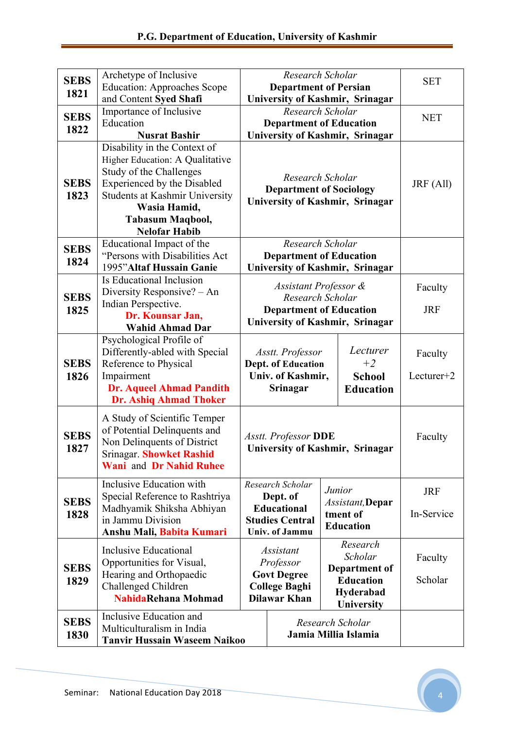| <b>SEBS</b><br>1821 | Archetype of Inclusive<br><b>Education: Approaches Scope</b>                                                                                                                                                                   |                                                                                                                | Research Scholar<br><b>Department of Persian</b>                                                                                 |                                                                                     |                                                                    | <b>SET</b>               |
|---------------------|--------------------------------------------------------------------------------------------------------------------------------------------------------------------------------------------------------------------------------|----------------------------------------------------------------------------------------------------------------|----------------------------------------------------------------------------------------------------------------------------------|-------------------------------------------------------------------------------------|--------------------------------------------------------------------|--------------------------|
| <b>SEBS</b><br>1822 | and Content Syed Shafi<br>Importance of Inclusive<br>Education<br><b>Nusrat Bashir</b>                                                                                                                                         |                                                                                                                | Research Scholar<br><b>Department of Education</b>                                                                               |                                                                                     | University of Kashmir, Srinagar<br>University of Kashmir, Srinagar | <b>NET</b>               |
| <b>SEBS</b><br>1823 | Disability in the Context of<br>Higher Education: A Qualitative<br>Study of the Challenges<br>Experienced by the Disabled<br><b>Students at Kashmir University</b><br>Wasia Hamid,<br>Tabasum Maqbool,<br><b>Nelofar Habib</b> |                                                                                                                | Research Scholar<br><b>Department of Sociology</b><br>University of Kashmir, Srinagar                                            |                                                                                     | JRF (All)                                                          |                          |
| <b>SEBS</b><br>1824 | Educational Impact of the<br>"Persons with Disabilities Act<br>1995" Altaf Hussain Ganie                                                                                                                                       |                                                                                                                | Research Scholar<br><b>Department of Education</b><br>University of Kashmir, Srinagar                                            |                                                                                     |                                                                    |                          |
| <b>SEBS</b><br>1825 | Is Educational Inclusion<br>Diversity Responsive? - An<br>Indian Perspective.<br>Dr. Kounsar Jan,<br><b>Wahid Ahmad Dar</b>                                                                                                    | Assistant Professor &<br>Research Scholar<br><b>Department of Education</b><br>University of Kashmir, Srinagar |                                                                                                                                  | Faculty<br><b>JRF</b>                                                               |                                                                    |                          |
| <b>SEBS</b><br>1826 | Psychological Profile of<br>Differently-abled with Special<br>Reference to Physical<br>Impairment<br><b>Dr. Aqueel Ahmad Pandith</b><br><b>Dr. Ashiq Ahmad Thoker</b>                                                          |                                                                                                                | Lecturer<br>Asstt. Professor<br>Dept. of Education<br>$+2$<br>Univ. of Kashmir,<br><b>School</b><br>Srinagar<br><b>Education</b> |                                                                                     | Faculty<br>Lecturer+2                                              |                          |
| <b>SEBS</b><br>1827 | A Study of Scientific Temper<br>of Potential Delinquents and<br>Non Delinquents of District<br><b>Srinagar. Showket Rashid</b><br><b>Wani</b> and Dr Nahid Ruhee                                                               |                                                                                                                | <b>Asstt. Professor DDE</b><br><b>University of Kashmir, Srinagar</b>                                                            |                                                                                     | Faculty                                                            |                          |
| <b>SEBS</b><br>1828 | Inclusive Education with<br>Special Reference to Rashtriya<br>Madhyamik Shiksha Abhiyan<br>in Jammu Division<br>Anshu Mali, Babita Kumari                                                                                      | Research Scholar<br>Dept. of<br><b>Educational</b><br><b>Studies Central</b><br><b>Univ. of Jammu</b>          |                                                                                                                                  | Junior<br>Assistant, Depar<br>tment of<br><b>Education</b>                          |                                                                    | <b>JRF</b><br>In-Service |
| <b>SEBS</b><br>1829 | Inclusive Educational<br>Opportunities for Visual,<br>Hearing and Orthopaedic<br>Challenged Children<br>NahidaRehana Mohmad                                                                                                    | <i>Assistant</i><br>Professor<br><b>Govt Degree</b><br><b>College Baghi</b><br><b>Dilawar Khan</b>             |                                                                                                                                  | Research<br>Scholar<br>Department of<br><b>Education</b><br>Hyderabad<br>University |                                                                    | Faculty<br>Scholar       |
| <b>SEBS</b><br>1830 | Inclusive Education and<br>Multiculturalism in India<br><b>Tanvir Hussain Waseem Naikoo</b>                                                                                                                                    | Research Scholar<br>Jamia Millia Islamia                                                                       |                                                                                                                                  |                                                                                     |                                                                    |                          |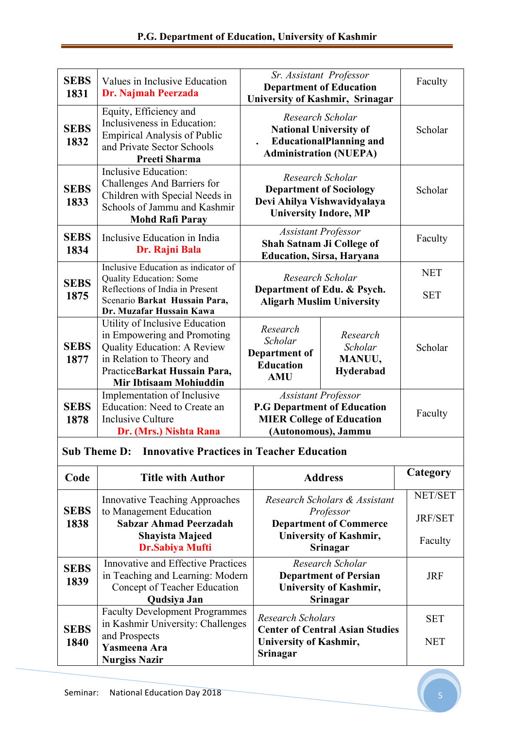| <b>SEBS</b><br>1831 | Values in Inclusive Education<br>Dr. Najmah Peerzada                                                                                                                                       | Sr. Assistant Professor<br><b>Department of Education</b>                                                                   |                                            | University of Kashmir, Srinagar |  | Faculty |
|---------------------|--------------------------------------------------------------------------------------------------------------------------------------------------------------------------------------------|-----------------------------------------------------------------------------------------------------------------------------|--------------------------------------------|---------------------------------|--|---------|
| <b>SEBS</b><br>1832 | Equity, Efficiency and<br>Inclusiveness in Education:<br><b>Empirical Analysis of Public</b><br>and Private Sector Schools<br><b>Preeti Sharma</b>                                         | Research Scholar<br><b>National University of</b><br><b>EducationalPlanning and</b><br><b>Administration (NUEPA)</b>        |                                            | Scholar                         |  |         |
| <b>SEBS</b><br>1833 | Inclusive Education:<br>Challenges And Barriers for<br>Children with Special Needs in<br>Schools of Jammu and Kashmir<br><b>Mohd Rafi Paray</b>                                            | Research Scholar<br><b>Department of Sociology</b><br>Devi Ahilya Vishwavidyalaya<br><b>University Indore, MP</b>           |                                            | Scholar                         |  |         |
| <b>SEBS</b><br>1834 | Inclusive Education in India<br>Dr. Rajni Bala                                                                                                                                             | <b>Assistant Professor</b><br>Shah Satnam Ji College of<br><b>Education, Sirsa, Haryana</b>                                 |                                            | Faculty                         |  |         |
| <b>SEBS</b><br>1875 | Inclusive Education as indicator of<br><b>Quality Education: Some</b><br>Reflections of India in Present<br>Scenario Barkat Hussain Para,<br>Dr. Muzafar Hussain Kawa                      | Research Scholar<br>Department of Edu. & Psych.<br><b>Aligarh Muslim University</b>                                         |                                            | <b>NET</b><br><b>SET</b>        |  |         |
| <b>SEBS</b><br>1877 | Utility of Inclusive Education<br>in Empowering and Promoting<br><b>Quality Education: A Review</b><br>in Relation to Theory and<br>PracticeBarkat Hussain Para,<br>Mir Ibtisaam Mohiuddin | Research<br>Scholar<br><b>Department of</b><br><b>Education</b><br><b>AMU</b>                                               | Research<br>Scholar<br>MANUU,<br>Hyderabad | Scholar                         |  |         |
| <b>SEBS</b><br>1878 | Implementation of Inclusive<br>Education: Need to Create an<br><b>Inclusive Culture</b><br>Dr. (Mrs.) Nishta Rana                                                                          | <b>Assistant Professor</b><br><b>P.G Department of Education</b><br><b>MIER College of Education</b><br>(Autonomous), Jammu |                                            | Faculty                         |  |         |

## **Sub Theme D: Innovative Practices in Teacher Education**

| Code                | <b>Title with Author</b>                                                                                                                              | <b>Address</b>                                                                                                           | Category                      |
|---------------------|-------------------------------------------------------------------------------------------------------------------------------------------------------|--------------------------------------------------------------------------------------------------------------------------|-------------------------------|
| <b>SEBS</b><br>1838 | <b>Innovative Teaching Approaches</b><br>to Management Education<br><b>Sabzar Ahmad Peerzadah</b><br><b>Shayista Majeed</b><br><b>Dr.Sabiya Mufti</b> | Research Scholars & Assistant<br>Professor<br><b>Department of Commerce</b><br><b>University of Kashmir,</b><br>Srinagar | NET/SET<br>JRF/SET<br>Faculty |
| <b>SEBS</b><br>1839 | <b>Innovative and Effective Practices</b><br>in Teaching and Learning: Modern<br>Concept of Teacher Education<br>Qudsiya Jan                          | Research Scholar<br><b>Department of Persian</b><br><b>University of Kashmir,</b><br>Srinagar                            | <b>JRF</b>                    |
| <b>SEBS</b><br>1840 | <b>Faculty Development Programmes</b><br>in Kashmir University: Challenges<br>and Prospects<br>Yasmeena Ara<br><b>Nurgiss Nazir</b>                   | Research Scholars<br><b>Center of Central Asian Studies</b><br><b>University of Kashmir,</b><br>Srinagar                 | <b>SET</b><br><b>NET</b>      |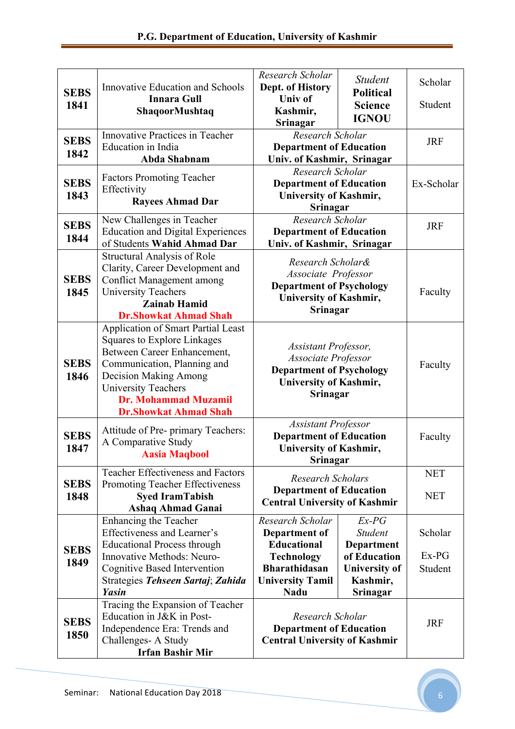| <b>SEBS</b><br>1841 | <b>Innovative Education and Schools</b><br><b>Innara Gull</b><br>ShaqoorMushtaq                                                                                                                                                                                            | Research Scholar<br>Dept. of History<br><b>Univ</b> of<br>Kashmir,<br>Srinagar                                                                 | <b>Student</b><br><b>Political</b><br><b>Science</b><br><b>IGNOU</b>                                           | Scholar<br>Student            |
|---------------------|----------------------------------------------------------------------------------------------------------------------------------------------------------------------------------------------------------------------------------------------------------------------------|------------------------------------------------------------------------------------------------------------------------------------------------|----------------------------------------------------------------------------------------------------------------|-------------------------------|
| <b>SEBS</b><br>1842 | Innovative Practices in Teacher<br>Education in India<br>Abda Shabnam                                                                                                                                                                                                      | Research Scholar<br><b>Department of Education</b><br>Univ. of Kashmir, Srinagar                                                               |                                                                                                                | <b>JRF</b>                    |
| <b>SEBS</b><br>1843 | <b>Factors Promoting Teacher</b><br>Effectivity<br><b>Rayees Ahmad Dar</b>                                                                                                                                                                                                 | Research Scholar<br><b>Department of Education</b><br><b>University of Kashmir,</b><br>Srinagar                                                | Ex-Scholar                                                                                                     |                               |
| <b>SEBS</b><br>1844 | New Challenges in Teacher<br><b>Education and Digital Experiences</b><br>of Students Wahid Ahmad Dar                                                                                                                                                                       | Research Scholar<br><b>Department of Education</b><br>Univ. of Kashmir, Srinagar                                                               |                                                                                                                | <b>JRF</b>                    |
| <b>SEBS</b><br>1845 | <b>Structural Analysis of Role</b><br>Clarity, Career Development and<br><b>Conflict Management among</b><br><b>University Teachers</b><br><b>Zainab Hamid</b><br><b>Dr.Showkat Ahmad Shah</b>                                                                             | Research Scholar&<br>Associate Professor<br><b>Department of Psychology</b><br><b>University of Kashmir,</b><br>Srinagar                       | Faculty                                                                                                        |                               |
| <b>SEBS</b><br>1846 | <b>Application of Smart Partial Least</b><br><b>Squares to Explore Linkages</b><br>Between Career Enhancement,<br>Communication, Planning and<br><b>Decision Making Among</b><br><b>University Teachers</b><br><b>Dr. Mohammad Muzamil</b><br><b>Dr.Showkat Ahmad Shah</b> | Assistant Professor,<br>Associate Professor<br><b>Department of Psychology</b><br><b>University of Kashmir,</b><br>Srinagar                    | Faculty                                                                                                        |                               |
| <b>SEBS</b><br>1847 | Attitude of Pre- primary Teachers:<br>A Comparative Study<br><b>Aasia Maqbool</b>                                                                                                                                                                                          | <b>Assistant Professor</b><br><b>Department of Education</b><br><b>University of Kashmir,</b><br><b>Srinagar</b>                               | Faculty                                                                                                        |                               |
| <b>SEBS</b><br>1848 | <b>Teacher Effectiveness and Factors</b><br>Promoting Teacher Effectiveness<br><b>Syed IramTabish</b><br><b>Ashaq Ahmad Ganai</b>                                                                                                                                          | <b>Research Scholars</b><br><b>Department of Education</b><br><b>Central University of Kashmir</b>                                             |                                                                                                                | <b>NET</b><br><b>NET</b>      |
| <b>SEBS</b><br>1849 | Enhancing the Teacher<br>Effectiveness and Learner's<br><b>Educational Process through</b><br>Innovative Methods: Neuro-<br><b>Cognitive Based Intervention</b><br>Strategies Tehseen Sartaj; Zahida<br><b>Yasin</b>                                                       | Research Scholar<br>Department of<br><b>Educational</b><br><b>Technology</b><br><b>Bharathidasan</b><br><b>University Tamil</b><br><b>Nadu</b> | $Ex-PG$<br><b>Student</b><br>Department<br>of Education<br><b>University of</b><br>Kashmir,<br><b>Srinagar</b> | Scholar<br>$Ex-PG$<br>Student |
| <b>SEBS</b><br>1850 | Tracing the Expansion of Teacher<br>Education in J&K in Post-<br>Independence Era: Trends and<br>Challenges-A Study<br><b>Irfan Bashir Mir</b>                                                                                                                             | Research Scholar<br><b>Department of Education</b><br><b>Central University of Kashmir</b>                                                     |                                                                                                                | <b>JRF</b>                    |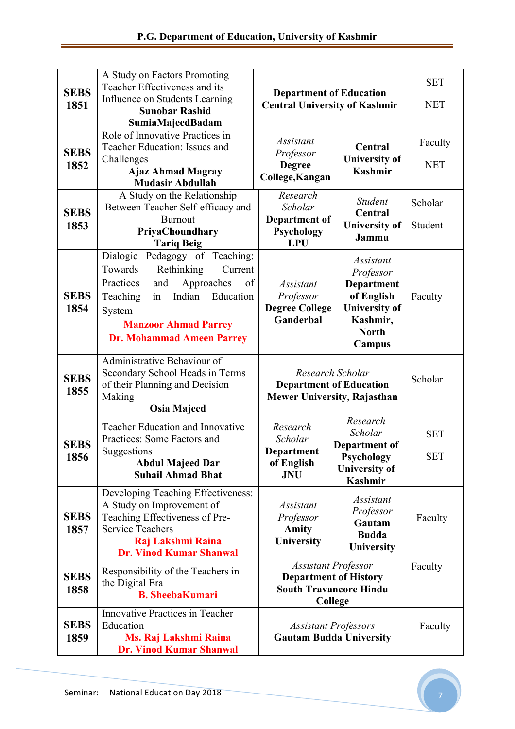| <b>SEBS</b><br>1851 | A Study on Factors Promoting<br>Teacher Effectiveness and its<br>Influence on Students Learning<br><b>Sunobar Rashid</b><br>SumiaMajeedBadam                                                                                        | <b>Department of Education</b><br><b>Central University of Kashmir</b>                                                                                        |                                                                                                                         | <b>SET</b><br><b>NET</b> |
|---------------------|-------------------------------------------------------------------------------------------------------------------------------------------------------------------------------------------------------------------------------------|---------------------------------------------------------------------------------------------------------------------------------------------------------------|-------------------------------------------------------------------------------------------------------------------------|--------------------------|
| <b>SEBS</b><br>1852 | Role of Innovative Practices in<br>Teacher Education: Issues and<br>Challenges<br><b>Ajaz Ahmad Magray</b><br><b>Mudasir Abdullah</b>                                                                                               | Assistant<br>Professor<br><b>Degree</b><br>College, Kangan                                                                                                    | Central<br><b>University of</b><br><b>Kashmir</b>                                                                       | Faculty<br><b>NET</b>    |
| <b>SEBS</b><br>1853 | A Study on the Relationship<br>Between Teacher Self-efficacy and<br><b>Burnout</b><br>PriyaChoundhary<br><b>Tariq Beig</b>                                                                                                          | Research<br>Scholar<br>Department of<br>Psychology<br><b>LPU</b>                                                                                              | Student<br>Central<br><b>University of</b><br>Jammu                                                                     | Scholar<br>Student       |
| <b>SEBS</b><br>1854 | Pedagogy of Teaching:<br>Dialogic<br>Towards<br>Rethinking<br>Current<br>Practices<br>Approaches<br>of<br>and<br>Indian<br>Education<br>Teaching<br>in<br>System<br><b>Manzoor Ahmad Parrey</b><br><b>Dr. Mohammad Ameen Parrey</b> | <b>Assistant</b><br>Professor<br><b>Degree College</b><br>Ganderbal                                                                                           | <i>Assistant</i><br>Professor<br>Department<br>of English<br><b>University of</b><br>Kashmir,<br><b>North</b><br>Campus | Faculty                  |
| <b>SEBS</b><br>1855 | Administrative Behaviour of<br>Secondary School Heads in Terms<br>of their Planning and Decision<br>Making<br><b>Osia Majeed</b>                                                                                                    | Research Scholar<br><b>Department of Education</b><br>Mewer University, Rajasthan                                                                             |                                                                                                                         | Scholar                  |
| <b>SEBS</b><br>1856 | Teacher Education and Innovative<br>Practices: Some Factors and<br>Suggestions<br><b>Abdul Majeed Dar</b><br><b>Suhail Ahmad Bhat</b>                                                                                               | Research<br>Research<br>Scholar<br>Scholar<br>Department of<br>Department<br>Psychology<br>of English<br><b>University of</b><br><b>JNU</b><br><b>Kashmir</b> |                                                                                                                         | <b>SET</b><br><b>SET</b> |
| <b>SEBS</b><br>1857 | Developing Teaching Effectiveness:<br>A Study on Improvement of<br>Teaching Effectiveness of Pre-<br><b>Service Teachers</b><br>Raj Lakshmi Raina<br><b>Dr. Vinod Kumar Shanwal</b>                                                 | <b>Assistant</b><br>Professor<br><b>Amity</b><br><b>University</b>                                                                                            | <b>Assistant</b><br>Professor<br>Gautam<br><b>Budda</b><br>University                                                   | Faculty                  |
| <b>SEBS</b><br>1858 | Responsibility of the Teachers in<br>the Digital Era<br><b>B. SheebaKumari</b>                                                                                                                                                      | <b>Assistant Professor</b><br><b>Department of History</b><br><b>South Travancore Hindu</b><br>College                                                        |                                                                                                                         | Faculty                  |
| <b>SEBS</b><br>1859 | Innovative Practices in Teacher<br>Education<br>Ms. Raj Lakshmi Raina<br><b>Dr. Vinod Kumar Shanwal</b>                                                                                                                             | <b>Assistant Professors</b><br><b>Gautam Budda University</b>                                                                                                 |                                                                                                                         | Faculty                  |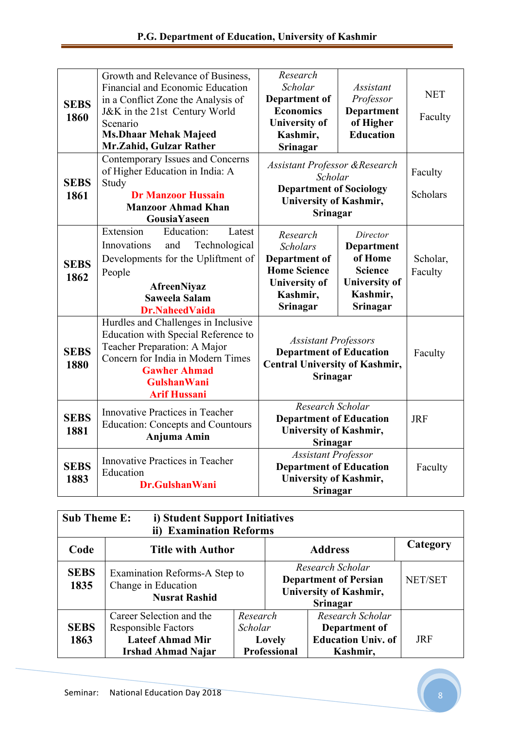| <b>SEBS</b><br>1860 | Growth and Relevance of Business,<br>Financial and Economic Education<br>in a Conflict Zone the Analysis of<br>J&K in the 21st Century World<br>Scenario<br><b>Ms.Dhaar Mehak Majeed</b><br>Mr.Zahid, Gulzar Rather | Research<br>Scholar<br>Department of<br><b>Economics</b><br><b>University of</b><br>Kashmir,<br>Srinagar                            | <b>Assistant</b><br>Professor<br>Department<br>of Higher<br><b>Education</b>                        | <b>NET</b><br>Faculty      |
|---------------------|---------------------------------------------------------------------------------------------------------------------------------------------------------------------------------------------------------------------|-------------------------------------------------------------------------------------------------------------------------------------|-----------------------------------------------------------------------------------------------------|----------------------------|
| <b>SEBS</b><br>1861 | Contemporary Issues and Concerns<br>of Higher Education in India: A<br>Study<br><b>Dr Manzoor Hussain</b><br><b>Manzoor Ahmad Khan</b><br>GousiaYaseen                                                              | <b>Assistant Professor &amp; Research</b><br>Scholar<br><b>Department of Sociology</b><br><b>University of Kashmir,</b><br>Srinagar |                                                                                                     | Faculty<br><b>Scholars</b> |
| <b>SEBS</b><br>1862 | Extension<br>Education:<br>Latest<br>Technological<br>Innovations<br>and<br>Developments for the Upliftment of<br>People<br><b>AfreenNiyaz</b><br><b>Saweela Salam</b><br><b>Dr.NaheedVaida</b>                     | Research<br><b>Scholars</b><br><b>Department of</b><br><b>Home Science</b><br><b>University of</b><br>Kashmir,<br>Srinagar          | Director<br>Department<br>of Home<br><b>Science</b><br><b>University of</b><br>Kashmir,<br>Srinagar | Scholar,<br>Faculty        |
| <b>SEBS</b><br>1880 | Hurdles and Challenges in Inclusive<br>Education with Special Reference to<br>Teacher Preparation: A Major<br>Concern for India in Modern Times<br><b>Gawher Ahmad</b><br><b>GulshanWani</b><br><b>Arif Hussani</b> | <b>Assistant Professors</b><br><b>Department of Education</b><br><b>Central University of Kashmir,</b><br>Srinagar                  |                                                                                                     | Faculty                    |
| <b>SEBS</b><br>1881 | Innovative Practices in Teacher<br><b>Education: Concepts and Countours</b><br>Anjuma Amin                                                                                                                          | Research Scholar<br><b>Department of Education</b><br>University of Kashmir,<br>Srinagar                                            |                                                                                                     | <b>JRF</b>                 |
| <b>SEBS</b><br>1883 | Innovative Practices in Teacher<br>Education<br>Dr.GulshanWani                                                                                                                                                      | <b>Assistant Professor</b><br><b>Department of Education</b><br><b>University of Kashmir,</b><br>Srinagar                           |                                                                                                     | Faculty                    |

| <b>Sub Theme E:</b><br>i) Student Support Initiatives<br>ii) Examination Reforms |                                                                                                                |                                                      |                                                                                                      |                                                                            |            |
|----------------------------------------------------------------------------------|----------------------------------------------------------------------------------------------------------------|------------------------------------------------------|------------------------------------------------------------------------------------------------------|----------------------------------------------------------------------------|------------|
| Code                                                                             | <b>Title with Author</b>                                                                                       |                                                      | <b>Address</b>                                                                                       |                                                                            | Category   |
| <b>SEBS</b><br>1835                                                              | Examination Reforms-A Step to<br>Change in Education<br><b>Nusrat Rashid</b>                                   |                                                      | Research Scholar<br><b>Department of Persian</b><br><b>University of Kashmir,</b><br><b>Srinagar</b> |                                                                            | NET/SET    |
| <b>SEBS</b><br>1863                                                              | Career Selection and the<br><b>Responsible Factors</b><br><b>Lateef Ahmad Mir</b><br><b>Irshad Ahmad Najar</b> | Research<br>Scholar<br>Lovely<br><b>Professional</b> |                                                                                                      | Research Scholar<br>Department of<br><b>Education Univ. of</b><br>Kashmir, | <b>JRF</b> |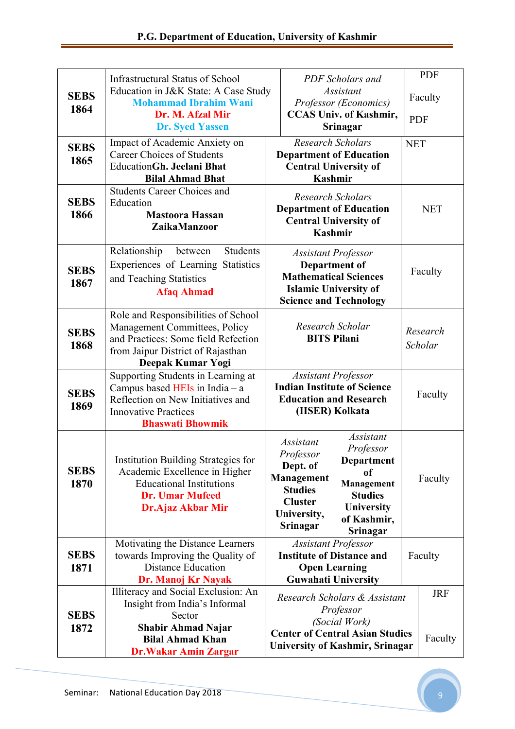|                     | Infrastructural Status of School                                                                                                                                      |                                                                                                                                                                                                                                                                    |                                           | PDF Scholars and | <b>PDF</b>          |                       |
|---------------------|-----------------------------------------------------------------------------------------------------------------------------------------------------------------------|--------------------------------------------------------------------------------------------------------------------------------------------------------------------------------------------------------------------------------------------------------------------|-------------------------------------------|------------------|---------------------|-----------------------|
| <b>SEBS</b><br>1864 | Education in J&K State: A Case Study<br><b>Mohammad Ibrahim Wani</b><br>Dr. M. Afzal Mir                                                                              | <b>Assistant</b><br>Professor (Economics)                                                                                                                                                                                                                          |                                           |                  |                     | Faculty               |
|                     | <b>Dr. Syed Yassen</b>                                                                                                                                                |                                                                                                                                                                                                                                                                    | <b>CCAS Univ. of Kashmir,</b><br>Srinagar |                  | <b>PDF</b>          |                       |
| <b>SEBS</b><br>1865 | Impact of Academic Anxiety on<br><b>Career Choices of Students</b><br><b>EducationGh. Jeelani Bhat</b><br><b>Bilal Ahmad Bhat</b>                                     | <b>Research Scholars</b><br><b>Department of Education</b><br><b>Central University of</b><br><b>Kashmir</b>                                                                                                                                                       |                                           | <b>NET</b>       |                     |                       |
| <b>SEBS</b><br>1866 | <b>Students Career Choices and</b><br>Education<br><b>Mastoora Hassan</b><br><b>ZaikaManzoor</b>                                                                      | <b>Research Scholars</b><br><b>Department of Education</b><br><b>Central University of</b><br><b>Kashmir</b>                                                                                                                                                       |                                           |                  | <b>NET</b>          |                       |
| <b>SEBS</b><br>1867 | Relationship<br><b>Students</b><br>between<br>Experiences of Learning Statistics<br>and Teaching Statistics<br><b>Afaq Ahmad</b>                                      | <b>Assistant Professor</b><br><b>Department of</b><br><b>Mathematical Sciences</b><br><b>Islamic University of</b><br><b>Science and Technology</b>                                                                                                                |                                           |                  | Faculty             |                       |
| <b>SEBS</b><br>1868 | Role and Responsibilities of School<br>Management Committees, Policy<br>and Practices: Some field Refection<br>from Jaipur District of Rajasthan<br>Deepak Kumar Yogi | Research Scholar<br><b>BITS Pilani</b>                                                                                                                                                                                                                             |                                           |                  | Research<br>Scholar |                       |
| <b>SEBS</b><br>1869 | Supporting Students in Learning at<br>Campus based HEIs in India $-$ a<br>Reflection on New Initiatives and<br><b>Innovative Practices</b><br><b>Bhaswati Bhowmik</b> | <b>Assistant Professor</b><br><b>Indian Institute of Science</b><br><b>Education and Research</b><br>(IISER) Kolkata                                                                                                                                               |                                           |                  | Faculty             |                       |
| <b>SEBS</b><br>1870 | <b>Institution Building Strategies for</b><br>Academic Excellence in Higher<br><b>Educational Institutions</b><br><b>Dr. Umar Mufeed</b><br><b>Dr.Ajaz Akbar Mir</b>  | <b>Assistant</b><br><b>Assistant</b><br>Professor<br>Professor<br><b>Department</b><br>Dept. of<br>of<br>Management<br>Management<br><b>Studies</b><br><b>Studies</b><br><b>Cluster</b><br><b>University</b><br>University,<br>of Kashmir,<br>Srinagar<br>Srinagar |                                           | Faculty          |                     |                       |
| <b>SEBS</b><br>1871 | Motivating the Distance Learners<br>towards Improving the Quality of<br><b>Distance Education</b><br>Dr. Manoj Kr Nayak                                               | <b>Assistant Professor</b><br><b>Institute of Distance and</b><br><b>Open Learning</b><br><b>Guwahati University</b>                                                                                                                                               |                                           |                  | Faculty             |                       |
| <b>SEBS</b><br>1872 | Illiteracy and Social Exclusion: An<br>Insight from India's Informal<br>Sector<br><b>Shabir Ahmad Najar</b><br><b>Bilal Ahmad Khan</b><br><b>Dr.Wakar Amin Zargar</b> | Research Scholars & Assistant<br>Professor<br>(Social Work)<br><b>Center of Central Asian Studies</b><br><b>University of Kashmir, Srinagar</b>                                                                                                                    |                                           |                  |                     | <b>JRF</b><br>Faculty |